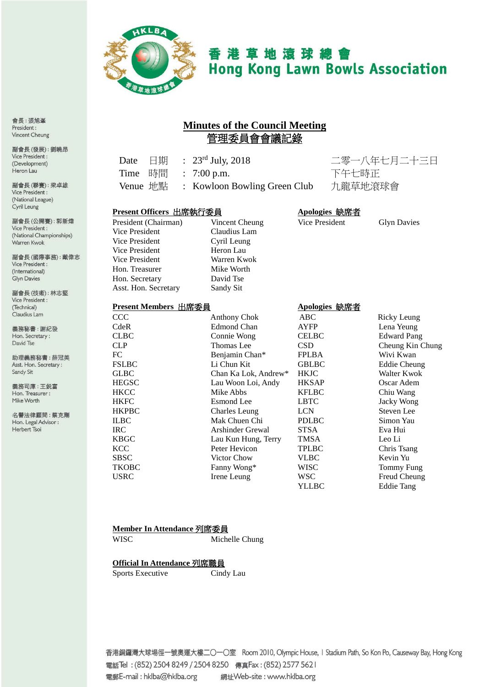

# 香港草地滾球總會 **Hong Kong Lawn Bowls Association**

## **Minutes of the Council Meeting** 管理委員會會議記錄

|  | Date $\Box$ $\qquad \qquad$ $\Box$ $\qquad \qquad$ $\qquad$ $\qquad$ $\qquad$ $\qquad$ $\qquad$ $\qquad$ $\qquad$ $\qquad$ $\qquad$ $\qquad$ $\qquad$ $\qquad$ $\qquad$ $\qquad$ $\qquad$ $\qquad$ $\qquad$ $\qquad$ $\qquad$ $\qquad$ $\qquad$ $\qquad$ $\qquad$ $\qquad$ $\qquad$ $\qquad$ $\qquad$ $\qquad$ $\qquad$ $\qquad$ $\qquad$ $\$ |
|--|-----------------------------------------------------------------------------------------------------------------------------------------------------------------------------------------------------------------------------------------------------------------------------------------------------------------------------------------------|
|  | Time 時間 : 7:00 p.m.                                                                                                                                                                                                                                                                                                                           |
|  | Venue 地點 : Kowloon Bowling Green Club                                                                                                                                                                                                                                                                                                         |

二零一八年七月二十三日 下午七時正 b 九龍草地滾球會

#### **Present Officers** 出席執行委員 **Apologies** 缺席者

President (Chairman) Vincent Cheung Vice President Glyn Davies Vice President Claudius Lam<br>
Vice President Cyril Leung Vice President Heron Lau Vice President Warren Kwok<br>
Hon. Treasurer Mike Worth Hon. Treasurer Hon. Secretary David Tse Asst. Hon. Secretary Sandy Sit

# Cyril Leung

#### **Present Members 出席委員 インストランド Anologies 純度者**

| IIGURINUUDUS 山而女只 |                         | $\Delta$ pologics $\mathsf{W}\cup\mathsf{H}$ $\mathsf{H}$ |                     |
|-------------------|-------------------------|-----------------------------------------------------------|---------------------|
| <b>CCC</b>        | <b>Anthony Chok</b>     | ABC                                                       | Ricky Leung         |
| CdeR              | Edmond Chan             | <b>AYFP</b>                                               | Lena Yeung          |
| <b>CLBC</b>       | Connie Wong             | <b>CELBC</b>                                              | <b>Edward Pang</b>  |
| <b>CLP</b>        | Thomas Lee              | <b>CSD</b>                                                | Cheung Kin Chung    |
| FC                | Benjamin Chan*          | <b>FPLBA</b>                                              | Wivi Kwan           |
| <b>FSLBC</b>      | Li Chun Kit             | <b>GBLBC</b>                                              | <b>Eddie Cheung</b> |
| <b>GLBC</b>       | Chan Ka Lok, Andrew*    | <b>HKJC</b>                                               | Walter Kwok         |
| <b>HEGSC</b>      | Lau Woon Loi, Andy      | <b>HKSAP</b>                                              | Oscar Adem          |
| <b>HKCC</b>       | Mike Abbs               | <b>KFLBC</b>                                              | Chiu Wang           |
| <b>HKFC</b>       | Esmond Lee              | <b>LBTC</b>                                               | Jacky Wong          |
| <b>HKPBC</b>      | Charles Leung           | <b>LCN</b>                                                | Steven Lee          |
| <b>ILBC</b>       | Mak Chuen Chi           | <b>PDLBC</b>                                              | Simon Yau           |
| IRC.              | <b>Arshinder Grewal</b> | <b>STSA</b>                                               | Eva Hui             |
| <b>KBGC</b>       | Lau Kun Hung, Terry     | <b>TMSA</b>                                               | Leo Li              |
| <b>KCC</b>        | Peter Hevicon           | <b>TPLBC</b>                                              | Chris Tsang         |
| <b>SBSC</b>       | Victor Chow             | VLBC                                                      | Kevin Yu            |
| <b>TKOBC</b>      | Fanny Wong*             | WISC                                                      | Tommy Fung          |
| <b>USRC</b>       | Irene Leung             | WSC                                                       | Freud Cheung        |
|                   |                         | YLLBC                                                     | <b>Eddie Tang</b>   |

#### **Member In Attendance** 列席委員

WISC Michelle Chung

#### **Official In Attendance** 列席職員

Sports Executive Cindy Lau

香港銅鑼灣大球場徑一號奧運大樓二〇一〇室 Room 2010, Olympic House, I Stadium Path, So Kon Po, Causeway Bay, Hong Kong 電話Tel: (852) 2504 8249 / 2504 8250 傳真Fax: (852) 2577 5621 電郵E-mail: hklba@hklba.org 網址Web-site: www.hklba.org

會長:張旭峯 President: Vincent Cheung

副會長(發展):劉曉昂 Vice President : (Development) Heron Lau

副會長(聯賽):梁卓雄 Vice President: (National League) Cyril Leung

副會長(公開賽):郭新煒 Vice President: (National Championships) Warren Kwok

副會長(國際事務):戴偉志 Vice President : (International) Glyn Davies

副會長(技術):林志堅 Vice President : (Technical) Claudius Lam

義務秘書:謝紀發 Hon. Secretary: David Tse

助理義務秘書:薛冠美 Asst. Hon. Secretary: Sandy Sit

義務司庫:王鋭富 Hon. Treasurer: Mike Worth

名譽法律顧問:蔡克剛 Hon. Legal Advisor : Herbert Tsoi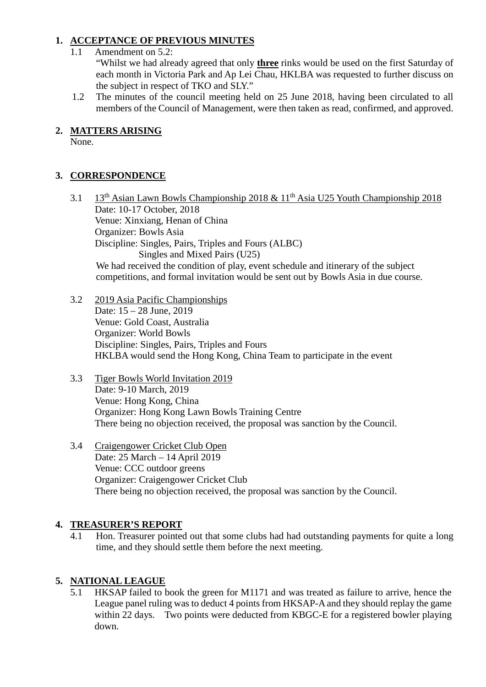#### **1. ACCEPTANCE OF PREVIOUS MINUTES**

1.1 Amendment on 5.2:

"Whilst we had already agreed that only **three** rinks would be used on the first Saturday of each month in Victoria Park and Ap Lei Chau, HKLBA was requested to further discuss on the subject in respect of TKO and SLY."

1.2 The minutes of the council meeting held on 25 June 2018, having been circulated to all members of the Council of Management, were then taken as read, confirmed, and approved.

### **2. MATTERS ARISING**

None.

# **3. CORRESPONDENCE**

- 3.1 13th Asian Lawn Bowls Championship 2018 & 11th Asia U25 Youth Championship 2018 Date: 10-17 October, 2018 Venue: Xinxiang, Henan of China Organizer: Bowls Asia Discipline: Singles, Pairs, Triples and Fours (ALBC) Singles and Mixed Pairs (U25) We had received the condition of play, event schedule and itinerary of the subject competitions, and formal invitation would be sent out by Bowls Asia in due course.
- 3.2 2019 Asia Pacific Championships Date: 15 – 28 June, 2019 Venue: Gold Coast, Australia Organizer: World Bowls Discipline: Singles, Pairs, Triples and Fours HKLBA would send the Hong Kong, China Team to participate in the event
- 3.3 Tiger Bowls World Invitation 2019 Date: 9-10 March, 2019 Venue: Hong Kong, China Organizer: Hong Kong Lawn Bowls Training Centre There being no objection received, the proposal was sanction by the Council.
- 3.4 Craigengower Cricket Club Open Date: 25 March – 14 April 2019 Venue: CCC outdoor greens Organizer: Craigengower Cricket Club There being no objection received, the proposal was sanction by the Council.

#### **4. TREASURER'S REPORT**

4.1 Hon. Treasurer pointed out that some clubs had had outstanding payments for quite a long time, and they should settle them before the next meeting.

### **5. NATIONAL LEAGUE**

5.1 HKSAP failed to book the green for M1171 and was treated as failure to arrive, hence the League panel ruling was to deduct 4 points from HKSAP-A and they should replay the game within 22 days. Two points were deducted from KBGC-E for a registered bowler playing down.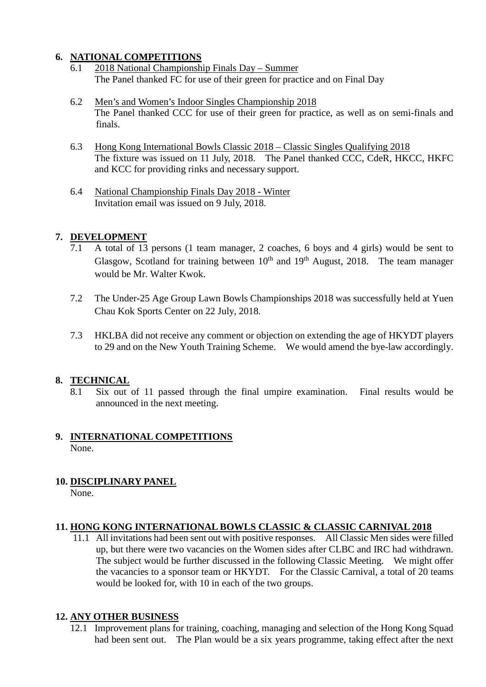#### **6. NATIONAL COMPETITIONS**

- 6.1 2018 National Championship Finals Day Summer The Panel thanked FC for use of their green for practice and on Final Day
- 6.2 Men's and Women's Indoor Singles Championship 2018 The Panel thanked CCC for use of their green for practice, as well as on semi-finals and finals.
- 6.3 Hong Kong International Bowls Classic 2018 Classic Singles Qualifying 2018 The fixture was issued on 11 July, 2018. The Panel thanked CCC, CdeR, HKCC, HKFC and KCC for providing rinks and necessary support.
- 6.4 National Championship Finals Day 2018 Winter Invitation email was issued on 9 July, 2018.

#### **7. DEVELOPMENT**

- 7.1 A total of 13 persons (1 team manager, 2 coaches, 6 boys and 4 girls) would be sent to Glasgow, Scotland for training between  $10^{th}$  and  $19^{th}$  August, 2018. The team manager would be Mr. Walter Kwok.
- 7.2 The Under-25 Age Group Lawn Bowls Championships 2018 was successfully held at Yuen Chau Kok Sports Center on 22 July, 2018.
- 7.3 HKLBA did not receive any comment or objection on extending the age of HKYDT players to 29 and on the New Youth Training Scheme. We would amend the bye-law accordingly.

#### **8. TECHNICAL**

8.1 Six out of 11 passed through the final umpire examination. Final results would be announced in the next meeting.

#### **9. INTERNATIONAL COMPETITIONS** None.

#### **10. DISCIPLINARY PANEL**

None.

#### **11. HONG KONG INTERNATIONAL BOWLS CLASSIC & CLASSIC CARNIVAL 2018**

11.1 All invitations had been sent out with positive responses. All Classic Men sides were filled up, but there were two vacancies on the Women sides after CLBC and IRC had withdrawn. The subject would be further discussed in the following Classic Meeting. We might offer the vacancies to a sponsor team or HKYDT. For the Classic Carnival, a total of 20 teams would be looked for, with 10 in each of the two groups.

#### **12. ANY OTHER BUSINESS**

12.1 Improvement plans for training, coaching, managing and selection of the Hong Kong Squad had been sent out. The Plan would be a six years programme, taking effect after the next